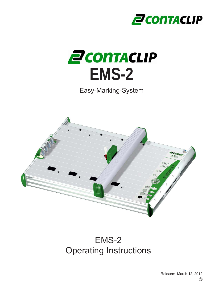



Easy-Marking-System



# EMS-2 Operating Instructions

© Release: March 12, 2012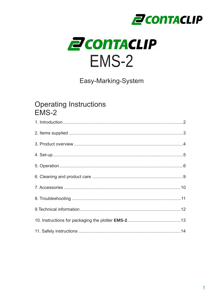



Easy-Marking-System

## **Operating Instructions** EMS-2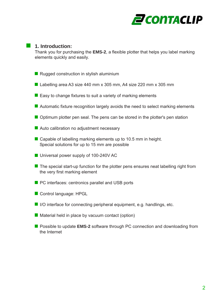

#### **1. Introduction:**

Thank you for purchasing the **EMS-2**, a flexible plotter that helps you label marking elements quickly and easily.

- **Rugged construction in stylish aluminium**
- Labelling area A3 size 440 mm x 305 mm, A4 size 220 mm x 305 mm
- $\blacksquare$  Easy to change fixtures to suit a variety of marking elements
- Automatic fixture recognition largely avoids the need to select marking elements
- **Optimum plotter pen seal. The pens can be stored in the plotter's pen station**
- Auto calibration no adjustment necessary
- Capable of labelling marking elements up to 10.5 mm in height. Special solutions for up to 15 mm are possible
- **Universal power supply of 100-240V AC**
- $\blacksquare$  The special start-up function for the plotter pens ensures neat labelling right from the very first marking element
- **PC** interfaces: centronics parallel and USB ports
- Control language: HPGL
- $\blacksquare$  I/O interface for connecting peripheral equipment, e.g. handlings, etc.
- $\blacksquare$  Material held in place by vacuum contact (option)
- **Possible to update EMS-2 software through PC connection and downloading from** the Internet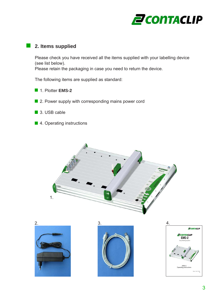

### **2. Items supplied**

Please check you have received all the items supplied with your labelling device (see list below).

Please retain the packaging in case you need to return the device.

The following items are supplied as standard:

- **1. Plotter EMS-2**
- 2. Power supply with corresponding mains power cord
- 3. USB cable
- 4. Operating instructions







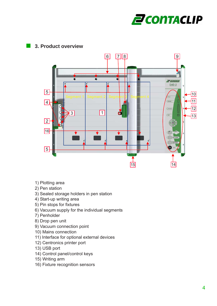

## **3. Product overview**



- 1) Plotting area
- 2) Pen station
- 3) Sealed storage holders in pen station
- 4) Start-up writing area
- 5) Pin stops for fixtures
- 6) Vacuum supply for the individual segments
- 7) Penholder
- 8) Drop pen unit
- 9) Vacuum connection point
- 10) Mains connection
- 11) Interface for optional external devices
- 12) Centronics printer port
- 13) USB port
- 14) Control panel/control keys
- 15) Writing arm
- 16) Fixture recognition sensors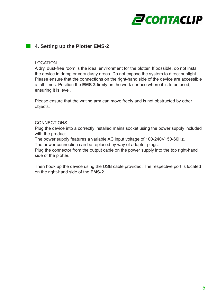

## **4. Setting up the Plotter EMS-2**

#### LOCATION

A dry, dust-free room is the ideal environment for the plotter. If possible, do not install the device in damp or very dusty areas. Do not expose the system to direct sunlight. Please ensure that the connections on the right-hand side of the device are accessible at all times. Position the **EMS-2** firmly on the work surface where it is to be used, ensuring it is level.

Please ensure that the writing arm can move freely and is not obstructed by other objects.

#### **CONNECTIONS**

Plug the device into a correctly installed mains socket using the power supply included with the product.

The power supply features a variable AC input voltage of 100-240V~50-60Hz.

The power connection can be replaced by way of adapter plugs.

Plug the connector from the output cable on the power supply into the top right-hand side of the plotter.

Then hook up the device using the USB cable provided. The respective port is located on the right-hand side of the **EMS-2**.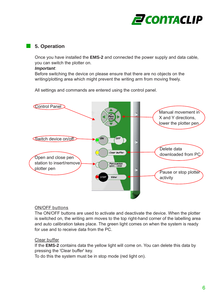

## **5. Operation**

Once you have installed the **EMS-2** and connected the power supply and data cable, you can switch the plotter on.

#### *Important*:

Before switching the device on please ensure that there are no objects on the writing/plotting area which might prevent the writing arm from moving freely.

All settings and commands are entered using the control panel.



#### ON/OFF buttons

The ON/OFF buttons are used to activate and deactivate the device. When the plotter is switched on, the writing arm moves to the top right-hand corner of the labelling area and auto calibration takes place. The green light comes on when the system is ready for use and to receive data from the PC.

#### Clear buffer

If the **EMS-2** contains data the yellow light will come on. You can delete this data by pressing the 'Clear buffer' key.

To do this the system must be in stop mode (red light on).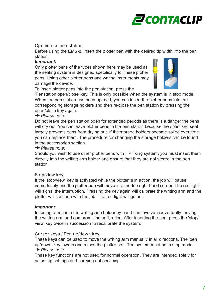

#### Open/close pen station

Before using the **EMS-2**, insert the plotter pen with the desired tip width into the pen station.

#### *Important:*

Only plotter pens of the types shown here may be used as the sealing system is designed specifically for these plotter pens. Using other plotter pens and writing instruments may damage the device.



To insert plotter pens into the pen station, press the

'Penstation open/close' key. This is only possible when the system is in stop mode. When the pen station has been opened, you can insert the plotter pens into the corresponding storage holders and then re-close the pen station by pressing the open/close key again.

#### *Please note:*

Do not leave the pen station open for extended periods as there is a danger the pens will dry out. You can leave plotter pens in the pen station because the optimised seal largely prevents pens from drying out. If the storage holders become soiled over time you can replace them. The procedure for changing the storage holders can be found in the accessories section.

 *Please note:*

Should you wish to use other plotter pens with HP fixing system, you must insert them directly into the writing arm holder and ensure that they are not stored in the pen station.

#### Stop/view key

If the 'stop/view' key is activated while the plotter is in action, the job will pause immediately and the plotter pen will move into the top right-hand corner. The red light will signal the interruption. Pressing the key again will calibrate the writing arm and the plotter will continue with the job. The red light will go out.

#### *Important:*

Inserting a pen into the writing arm holder by hand can involve inadvertently moving the writing arm and compromising calibration. After inserting the pen, press the 'stop/ view' key twice in succession to recalibrate the system.

#### Cursor keys / Pen up/down key

These keys can be used to move the writing arm manually in all directions. The 'pen up/down' key lowers and raises the plotter pen. The system must be in stop mode.  *Please note:*

These key functions are not used for normal operation. They are intended solely for adjusting settings and carrying out servicing.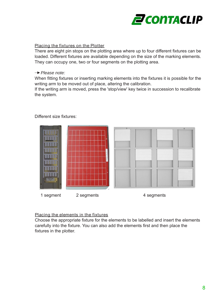

#### Placing the fixtures on the Plotter

There are eight pin stops on the plotting area where up to four different fixtures can be loaded. Different fixtures are available depending on the size of the marking elements. They can occupy one, two or four segments on the plotting area.

#### **→ Please note:**

When fitting fixtures or inserting marking elements into the fixtures it is possible for the writing arm to be moved out of place, altering the calibration.

If the writing arm is moved, press the 'stop/view' key twice in succession to recalibrate the system.



Different size fixtures:

#### Placing the elements in the fixtures

Choose the appropriate fixture for the elements to be labelled and insert the elements carefully into the fixture. You can also add the elements first and then place the fixtures in the plotter.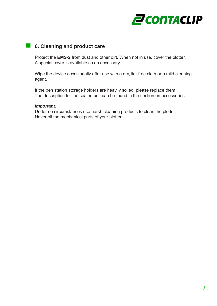

#### **6. Cleaning and product care**

Protect the **EMS-2** from dust and other dirt. When not in use, cover the plotter. A special cover is available as an accessory.

Wipe the device occasionally after use with a dry, lint-free cloth or a mild cleaning agent.

If the pen station storage holders are heavily soiled, please replace them. The description for the sealed unit can be found in the section on accessories.

#### *Important:*

Under no circumstances use harsh cleaning products to clean the plotter. Never oil the mechanical parts of your plotter.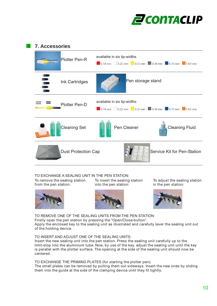

#### **7. Accessories**

| <b>Plotter Pen-R</b>       | available in six tip-widths          |
|----------------------------|--------------------------------------|
| Ink Cartridges             | Pen storage stand                    |
| Plotter Pen-D              | available in six tip-widths          |
| <b>Cleaning Set</b>        | Pen Cleaner<br><b>Cleaning Fluid</b> |
| <b>Dust Protection Cap</b> | Service Kit for Pen-Station          |

TO EXCHANGE A SEALING UNIT IN THE PEN STATION:

To remove the sealing station from the pen station:



To insert the sealing station into the pen station:







TO REMOVE ONE OF THE SEALING UNITS FROM THE PEN STATION: Firstly open the pen station by pressing the "Open/Close-button". Apply the enclosed key to the sealing unit as illustrated and carefully lever the sealing unit out of the holding device.

TO INSERT AND ADJUST ONE OF THE SEALING UNITS: Insert the new sealing unit into the pen station. Press the sealing unit carefully up to the limit-stop into the aluminium tube. Now, by use of the key, adjust the sealing unit until the key is parallel with the plotter surface. The opening at the side of the sealing unit should now be centered.

TO EXCHANGE THE PRIMING PLATES (for starting the plotter pen): The small plates can be removed by pulling them out sideways. Insert the new ones by sliding them into the guide at the side of the clamping device until they fit tightly.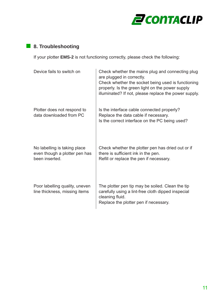

## **8. Troubleshooting**

If your plotter **EMS-2** is not functioning correctly, please check the following:

| Device fails to switch on                                                       | Check whether the mains plug and connecting plug<br>are plugged in correctly.<br>Check whether the socket being used is functioning<br>properly. Is the green light on the power supply<br>illuminated? If not, please replace the power supply. |
|---------------------------------------------------------------------------------|--------------------------------------------------------------------------------------------------------------------------------------------------------------------------------------------------------------------------------------------------|
| Plotter does not respond to<br>data downloaded from PC                          | Is the interface cable connected properly?<br>Replace the data cable if necessary.<br>Is the correct interface on the PC being used?                                                                                                             |
| No labelling is taking place<br>even though a plotter pen has<br>been inserted. | Check whether the plotter pen has dried out or if<br>there is sufficient ink in the pen.<br>Refill or replace the pen if necessary.                                                                                                              |
| Poor labelling quality, uneven<br>line thickness, missing items                 | The plotter pen tip may be soiled. Clean the tip<br>carefully using a lint-free cloth dipped inspecial<br>cleaning fluid.<br>Replace the plotter pen if necessary.                                                                               |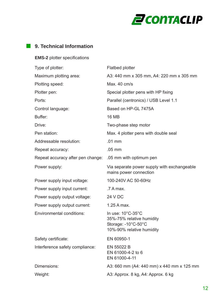

## **9. Technical Information**

**EMS-2** plotter specifications

| Type of plotter:                                          | <b>Flatbed plotter</b>                                                                                                                       |
|-----------------------------------------------------------|----------------------------------------------------------------------------------------------------------------------------------------------|
| Maximum plotting area:                                    | A3: 440 mm x 305 mm, A4: 220 mm x 305 mm                                                                                                     |
| Plotting speed:                                           | Max. 40 cm/s                                                                                                                                 |
| Plotter pen:                                              | Special plotter pens with HP fixing                                                                                                          |
| Ports:                                                    | Parallel (centronics) / USB Level 1.1                                                                                                        |
| Control language:                                         | Based on HP-GL 7475A                                                                                                                         |
| Buffer:                                                   | <b>16 MB</b>                                                                                                                                 |
| Drive:                                                    | Two-phase step motor                                                                                                                         |
| Pen station:                                              | Max. 4 plotter pens with double seal                                                                                                         |
| Addressable resolution:                                   | $.01$ mm                                                                                                                                     |
| Repeat accuracy:                                          | $.05$ mm                                                                                                                                     |
| Repeat accuracy after pen change: .05 mm with optimum pen |                                                                                                                                              |
| Power supply:                                             | Via separate power supply with exchangeable<br>mains power connection                                                                        |
| Power supply input voltage:                               | 100-240V AC 50-60Hz                                                                                                                          |
| Power supply input current:                               | .7 A max.                                                                                                                                    |
| Power supply output voltage:                              | 24 V DC                                                                                                                                      |
| Power supply output current:                              | 1.25 A max.                                                                                                                                  |
| <b>Environmental conditions:</b>                          | In use: $10^{\circ}$ C-35 $^{\circ}$ C<br>35%-75% relative humidity<br>Storage: $-10^{\circ}$ C $-50^{\circ}$ C<br>10%-90% relative humidity |
| Safety certificate:                                       | EN 60950-1                                                                                                                                   |
| Interference safety compliance:                           | EN 55022 B<br>EN 61000-4-2 to 6<br>EN 61000-4-11                                                                                             |
| Dimensions:                                               | A3: 660 mm (A4: 440 mm) x 440 mm x 125 mm                                                                                                    |
| Weight:                                                   | A3: Approx. 8 kg, A4: Approx. 6 kg                                                                                                           |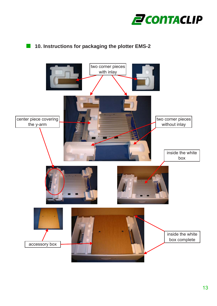

## **10. Instructions for packaging the plotter EMS-2**

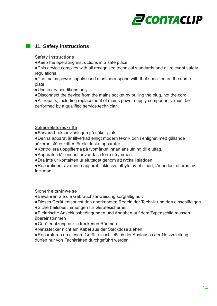

## **11. Safety instructions**

Safety instructions

●Keep the operating instructions in a safe place.

●This device complies with all recognised technical standards and all relevant safety regulations.

●The mains power supply used must correspond with that specified on the name plate.

- ●Use in dry conditions only.
- ●Disconnect the device from the mains socket by pulling the plug, not the cord.
- ●All repairs, including replacement of mains power supply components, must be performed by a qualified service technician.

Säkerhetsföreskrifte

- ●Förvara bruksanvisningen på säker plats.
- ●Denna apparat är tillverkad enligt modern teknik och i enlighet med gällande säkerhetsföreskrifter för elektriska apparater.
- ●Kontrollera uppgifterna på typmärket innan anslutning till eluttag.
- ●Apparaten får endast användas i torra utrymmen.
- ●Dra inte ur kontakten ur eluttaget genom att rycka i sladden.

●Reparationer av denna apparat, inklusive utbyte av el-sladd, får endast utföras av fackman.

Sicherheitshinweise

- ●Bewahren Sie die Gebrauchsanweisung sorgfältig auf.
- ●Dieses Gerät entspricht den anerkannten Regeln der Technik und den einschlägigen
- ●Sicherheitsbestimmungen für Gerätesicherheit.
- ●Elektrische Anschlussbedingungen und Angaben auf dem Typenschild müssen übereinstimmen
- ●Gerätenutzung nur in trockenen Räumen
- ●Netzstecker nicht am Kabel aus der Steckdose ziehen
- ●Reparaturen an diesem Gerät, einschließlich der Austausch der Netzzuleitung,

dürfen nur von Fachkräften durchgeführt werden